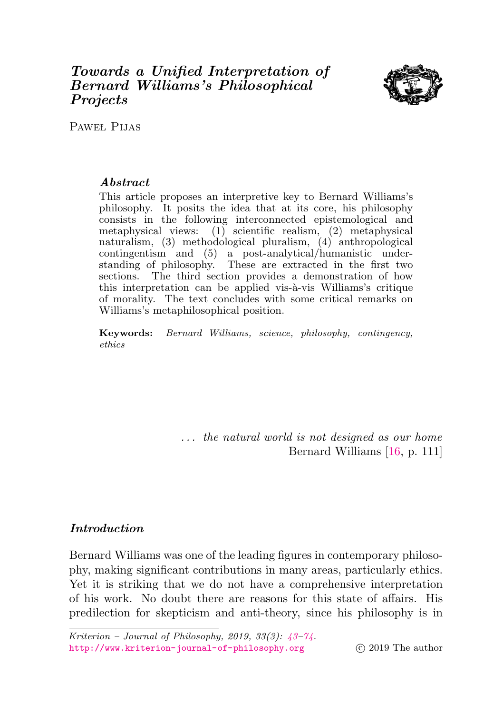# <span id="page-0-0"></span>Towards a Unified Interpretation of Bernard Williams's Philosophical **Projects**



PAWEŁ PIJAS

## Abstract

This article proposes an interpretive key to Bernard Williams's philosophy. It posits the idea that at its core, his philosophy consists in the following interconnected epistemological and metaphysical views:  $(1)$  scientific realism,  $(2)$  metaphysical naturalism, (3) methodological pluralism, (4) anthropological contingentism and (5) a post-analytical/humanistic understanding of philosophy. These are extracted in the first two sections. The third section provides a demonstration of how this interpretation can be applied vis-à-vis Williams's critique of morality. The text concludes with some critical remarks on Williams's metaphilosophical position.

Keywords: Bernard Williams, science, philosophy, contingency, ethics

> ... the natural world is not designed as our home Bernard Williams [\[16,](#page-29-0) p. 111]

## Introduction

Bernard Williams was one of the leading figures in contemporary philosophy, making significant contributions in many areas, particularly ethics. Yet it is striking that we do not have a comprehensive interpretation of his work. No doubt there are reasons for this state of affairs. His predilection for skepticism and anti-theory, since his philosophy is in

Kriterion – Journal of Philosophy, 2019, 33(3): [43–](#page-0-0)[74.](#page-28-0) <http://www.kriterion-journal-of-philosophy.org> (c) 2019 The author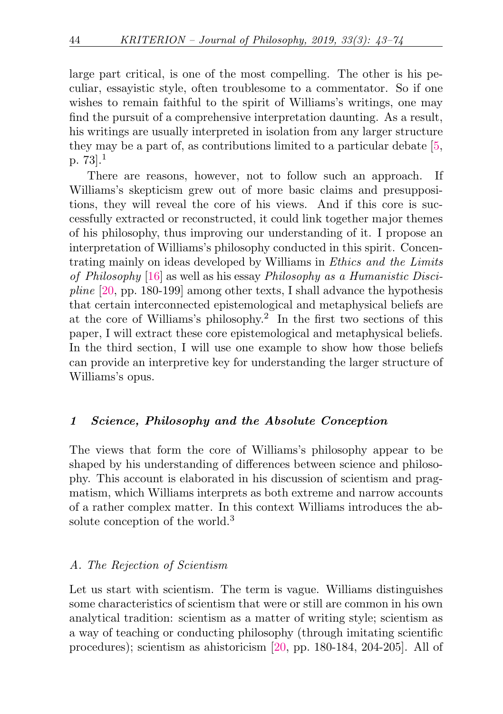large part critical, is one of the most compelling. The other is his peculiar, essayistic style, often troublesome to a commentator. So if one wishes to remain faithful to the spirit of Williams's writings, one may find the pursuit of a comprehensive interpretation daunting. As a result, his writings are usually interpreted in isolation from any larger structure they may be a part of, as contributions limited to a particular debate [\[5,](#page-28-1) p. 73].[1](#page-26-0)

<span id="page-1-0"></span>There are reasons, however, not to follow such an approach. If Williams's skepticism grew out of more basic claims and presuppositions, they will reveal the core of his views. And if this core is successfully extracted or reconstructed, it could link together major themes of his philosophy, thus improving our understanding of it. I propose an interpretation of Williams's philosophy conducted in this spirit. Concentrating mainly on ideas developed by Williams in Ethics and the Limits of Philosophy [\[16\]](#page-29-0) as well as his essay Philosophy as a Humanistic Discipline [\[20,](#page-29-1) pp. 180-199] among other texts, I shall advance the hypothesis that certain interconnected epistemological and metaphysical beliefs are at the core of Williams's philosophy.[2](#page-26-1) In the first two sections of this paper, I will extract these core epistemological and metaphysical beliefs. In the third section, I will use one example to show how those beliefs can provide an interpretive key for understanding the larger structure of Williams's opus.

## <span id="page-1-1"></span>1 Science, Philosophy and the Absolute Conception

The views that form the core of Williams's philosophy appear to be shaped by his understanding of differences between science and philosophy. This account is elaborated in his discussion of scientism and pragmatism, which Williams interprets as both extreme and narrow accounts of a rather complex matter. In this context Williams introduces the ab-solute conception of the world.<sup>[3](#page-26-2)</sup>

#### <span id="page-1-2"></span>A. The Rejection of Scientism

Let us start with scientism. The term is vague. Williams distinguishes some characteristics of scientism that were or still are common in his own analytical tradition: scientism as a matter of writing style; scientism as a way of teaching or conducting philosophy (through imitating scientific procedures); scientism as ahistoricism [\[20,](#page-29-1) pp. 180-184, 204-205]. All of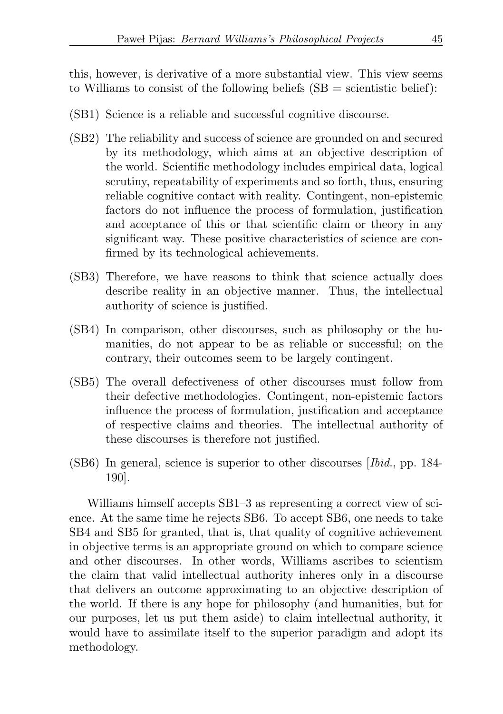this, however, is derivative of a more substantial view. This view seems to Williams to consist of the following beliefs  $(SB =$  scientistic belief):

- <span id="page-2-0"></span>(SB1) Science is a reliable and successful cognitive discourse.
- (SB2) The reliability and success of science are grounded on and secured by its methodology, which aims at an objective description of the world. Scientific methodology includes empirical data, logical scrutiny, repeatability of experiments and so forth, thus, ensuring reliable cognitive contact with reality. Contingent, non-epistemic factors do not influence the process of formulation, justification and acceptance of this or that scientific claim or theory in any significant way. These positive characteristics of science are confirmed by its technological achievements.
- <span id="page-2-1"></span>(SB3) Therefore, we have reasons to think that science actually does describe reality in an objective manner. Thus, the intellectual authority of science is justified.
- <span id="page-2-3"></span>(SB4) In comparison, other discourses, such as philosophy or the humanities, do not appear to be as reliable or successful; on the contrary, their outcomes seem to be largely contingent.
- <span id="page-2-4"></span>(SB5) The overall defectiveness of other discourses must follow from their defective methodologies. Contingent, non-epistemic factors influence the process of formulation, justification and acceptance of respective claims and theories. The intellectual authority of these discourses is therefore not justified.
- <span id="page-2-2"></span>(SB6) In general, science is superior to other discourses [Ibid., pp. 184- 190].

Williams himself accepts S[B1–](#page-2-0)[3](#page-2-1) as representing a correct view of science. At the same time he rejects S[B6.](#page-2-2) To accept S[B6,](#page-2-2) one needs to take S[B4](#page-2-3) and S[B5](#page-2-4) for granted, that is, that quality of cognitive achievement in objective terms is an appropriate ground on which to compare science and other discourses. In other words, Williams ascribes to scientism the claim that valid intellectual authority inheres only in a discourse that delivers an outcome approximating to an objective description of the world. If there is any hope for philosophy (and humanities, but for our purposes, let us put them aside) to claim intellectual authority, it would have to assimilate itself to the superior paradigm and adopt its methodology.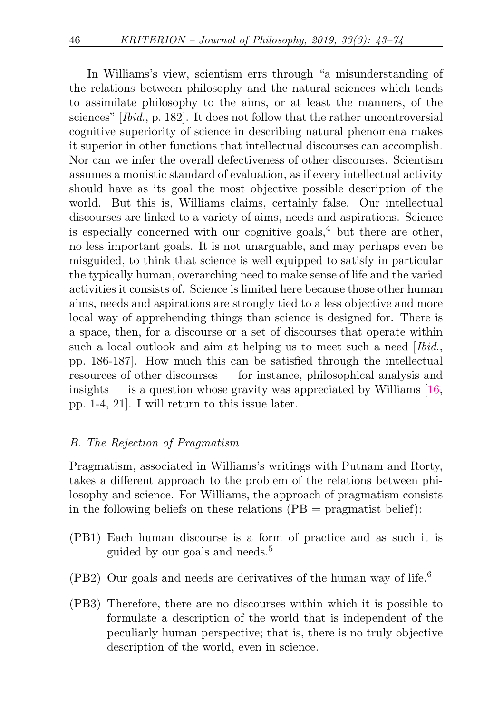<span id="page-3-2"></span>In Williams's view, scientism errs through "a misunderstanding of the relations between philosophy and the natural sciences which tends to assimilate philosophy to the aims, or at least the manners, of the sciences" [Ibid., p. 182]. It does not follow that the rather uncontroversial cognitive superiority of science in describing natural phenomena makes it superior in other functions that intellectual discourses can accomplish. Nor can we infer the overall defectiveness of other discourses. Scientism assumes a monistic standard of evaluation, as if every intellectual activity should have as its goal the most objective possible description of the world. But this is, Williams claims, certainly false. Our intellectual discourses are linked to a variety of aims, needs and aspirations. Science is especially concerned with our cognitive goals,  $4$  but there are other, no less important goals. It is not unarguable, and may perhaps even be misguided, to think that science is well equipped to satisfy in particular the typically human, overarching need to make sense of life and the varied activities it consists of. Science is limited here because those other human aims, needs and aspirations are strongly tied to a less objective and more local way of apprehending things than science is designed for. There is a space, then, for a discourse or a set of discourses that operate within such a local outlook and aim at helping us to meet such a need [*Ibid.*, pp. 186-187]. How much this can be satisfied through the intellectual resources of other discourses — for instance, philosophical analysis and insights  $\frac{16}{16}$ , is a question whose gravity was appreciated by Williams [\[16,](#page-29-0) pp. 1-4, 21]. I will return to this issue later.

### B. The Rejection of Pragmatism

Pragmatism, associated in Williams's writings with Putnam and Rorty, takes a different approach to the problem of the relations between philosophy and science. For Williams, the approach of pragmatism consists in the following beliefs on these relations  $(PB = \text{pragmatist belief})$ :

- <span id="page-3-3"></span><span id="page-3-0"></span>(PB1) Each human discourse is a form of practice and as such it is guided by our goals and needs.[5](#page-26-4)
- <span id="page-3-5"></span><span id="page-3-4"></span>(PB2) Our goals and needs are derivatives of the human way of life.<sup>[6](#page-27-0)</sup>
- <span id="page-3-1"></span>(PB3) Therefore, there are no discourses within which it is possible to formulate a description of the world that is independent of the peculiarly human perspective; that is, there is no truly objective description of the world, even in science.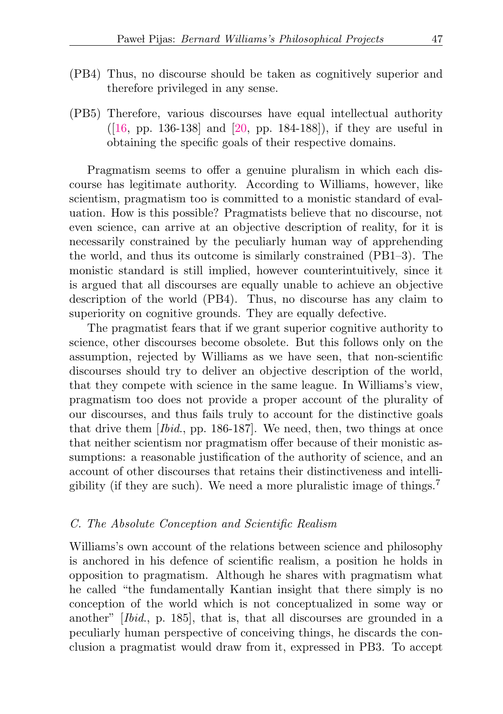- <span id="page-4-0"></span>(PB4) Thus, no discourse should be taken as cognitively superior and therefore privileged in any sense.
- (PB5) Therefore, various discourses have equal intellectual authority ([\[16,](#page-29-0) pp. 136-138] and [\[20,](#page-29-1) pp. 184-188]), if they are useful in obtaining the specific goals of their respective domains.

Pragmatism seems to offer a genuine pluralism in which each discourse has legitimate authority. According to Williams, however, like scientism, pragmatism too is committed to a monistic standard of evaluation. How is this possible? Pragmatists believe that no discourse, not even science, can arrive at an objective description of reality, for it is necessarily constrained by the peculiarly human way of apprehending the world, and thus its outcome is similarly constrained (P[B1](#page-3-0)[–3\)](#page-3-1). The monistic standard is still implied, however counterintuitively, since it is argued that all discourses are equally unable to achieve an objective description of the world (P[B4\)](#page-4-0). Thus, no discourse has any claim to superiority on cognitive grounds. They are equally defective.

The pragmatist fears that if we grant superior cognitive authority to science, other discourses become obsolete. But this follows only on the assumption, rejected by Williams as we have seen, that non-scientific discourses should try to deliver an objective description of the world, that they compete with science in the same league. In Williams's view, pragmatism too does not provide a proper account of the plurality of our discourses, and thus fails truly to account for the distinctive goals that drive them [Ibid., pp. 186-187]. We need, then, two things at once that neither scientism nor pragmatism offer because of their monistic assumptions: a reasonable justification of the authority of science, and an account of other discourses that retains their distinctiveness and intelligibility (if they are such). We need a more pluralistic image of things.[7](#page-27-1)

#### <span id="page-4-1"></span>C. The Absolute Conception and Scientific Realism

Williams's own account of the relations between science and philosophy is anchored in his defence of scientific realism, a position he holds in opposition to pragmatism. Although he shares with pragmatism what he called "the fundamentally Kantian insight that there simply is no conception of the world which is not conceptualized in some way or another" [Ibid., p. 185], that is, that all discourses are grounded in a peculiarly human perspective of conceiving things, he discards the conclusion a pragmatist would draw from it, expressed in P[B3.](#page-3-1) To accept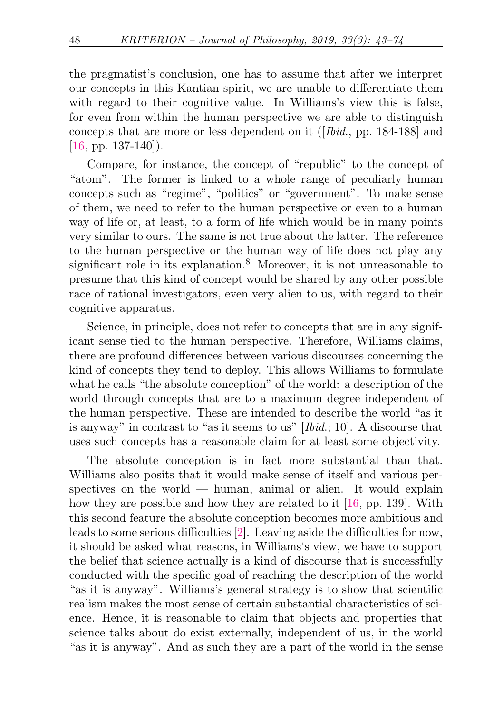the pragmatist's conclusion, one has to assume that after we interpret our concepts in this Kantian spirit, we are unable to differentiate them with regard to their cognitive value. In Williams's view this is false, for even from within the human perspective we are able to distinguish concepts that are more or less dependent on it ([Ibid., pp. 184-188] and  $[16, pp. 137-140]$  $[16, pp. 137-140]$ .

Compare, for instance, the concept of "republic" to the concept of "atom". The former is linked to a whole range of peculiarly human concepts such as "regime", "politics" or "government". To make sense of them, we need to refer to the human perspective or even to a human way of life or, at least, to a form of life which would be in many points very similar to ours. The same is not true about the latter. The reference to the human perspective or the human way of life does not play any significant role in its explanation.<sup>[8](#page-27-2)</sup> Moreover, it is not unreasonable to presume that this kind of concept would be shared by any other possible race of rational investigators, even very alien to us, with regard to their cognitive apparatus.

<span id="page-5-0"></span>Science, in principle, does not refer to concepts that are in any significant sense tied to the human perspective. Therefore, Williams claims, there are profound differences between various discourses concerning the kind of concepts they tend to deploy. This allows Williams to formulate what he calls "the absolute conception" of the world: a description of the world through concepts that are to a maximum degree independent of the human perspective. These are intended to describe the world "as it is anyway" in contrast to "as it seems to us" [Ibid.; 10]. A discourse that uses such concepts has a reasonable claim for at least some objectivity.

The absolute conception is in fact more substantial than that. Williams also posits that it would make sense of itself and various perspectives on the world — human, animal or alien. It would explain how they are possible and how they are related to it [\[16,](#page-29-0) pp. 139]. With this second feature the absolute conception becomes more ambitious and leads to some serious difficulties [\[2\]](#page-28-2). Leaving aside the difficulties for now, it should be asked what reasons, in Williams's view, we have to support the belief that science actually is a kind of discourse that is successfully conducted with the specific goal of reaching the description of the world "as it is anyway". Williams's general strategy is to show that scientific realism makes the most sense of certain substantial characteristics of science. Hence, it is reasonable to claim that objects and properties that science talks about do exist externally, independent of us, in the world "as it is anyway". And as such they are a part of the world in the sense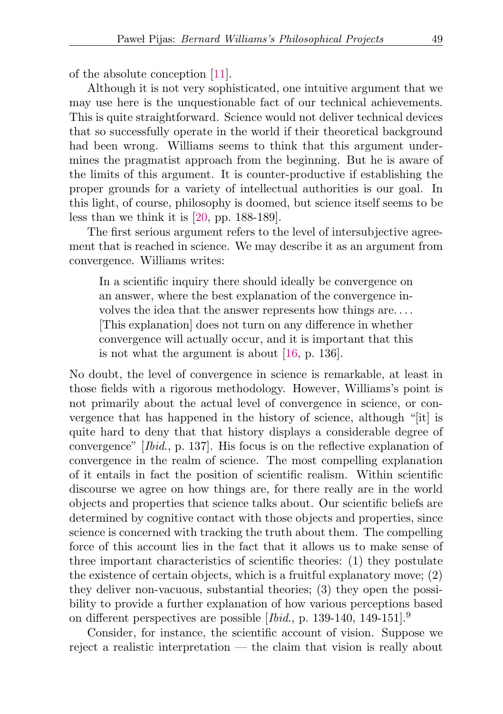of the absolute conception [\[11\]](#page-29-2).

Although it is not very sophisticated, one intuitive argument that we may use here is the unquestionable fact of our technical achievements. This is quite straightforward. Science would not deliver technical devices that so successfully operate in the world if their theoretical background had been wrong. Williams seems to think that this argument undermines the pragmatist approach from the beginning. But he is aware of the limits of this argument. It is counter-productive if establishing the proper grounds for a variety of intellectual authorities is our goal. In this light, of course, philosophy is doomed, but science itself seems to be less than we think it is [\[20,](#page-29-1) pp. 188-189].

The first serious argument refers to the level of intersubjective agreement that is reached in science. We may describe it as an argument from convergence. Williams writes:

In a scientific inquiry there should ideally be convergence on an answer, where the best explanation of the convergence involves the idea that the answer represents how things are. . . . [This explanation] does not turn on any difference in whether convergence will actually occur, and it is important that this is not what the argument is about [\[16,](#page-29-0) p. 136].

No doubt, the level of convergence in science is remarkable, at least in those fields with a rigorous methodology. However, Williams's point is not primarily about the actual level of convergence in science, or convergence that has happened in the history of science, although "[it] is quite hard to deny that that history displays a considerable degree of convergence" [Ibid., p. 137]. His focus is on the reflective explanation of convergence in the realm of science. The most compelling explanation of it entails in fact the position of scientific realism. Within scientific discourse we agree on how things are, for there really are in the world objects and properties that science talks about. Our scientific beliefs are determined by cognitive contact with those objects and properties, since science is concerned with tracking the truth about them. The compelling force of this account lies in the fact that it allows us to make sense of three important characteristics of scientific theories: (1) they postulate the existence of certain objects, which is a fruitful explanatory move; (2) they deliver non-vacuous, substantial theories; (3) they open the possibility to provide a further explanation of how various perceptions based on different perspectives are possible  $[Ibid., p. 139-140, 149-151].<sup>9</sup>$  $[Ibid., p. 139-140, 149-151].<sup>9</sup>$  $[Ibid., p. 139-140, 149-151].<sup>9</sup>$ 

<span id="page-6-0"></span>Consider, for instance, the scientific account of vision. Suppose we reject a realistic interpretation — the claim that vision is really about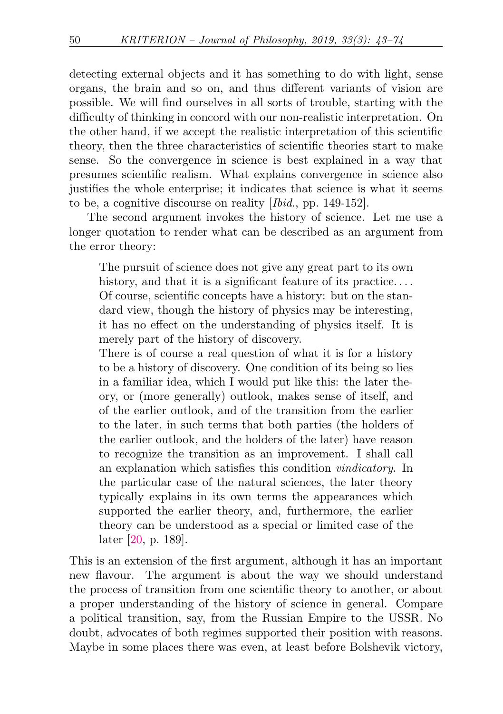detecting external objects and it has something to do with light, sense organs, the brain and so on, and thus different variants of vision are possible. We will find ourselves in all sorts of trouble, starting with the difficulty of thinking in concord with our non-realistic interpretation. On the other hand, if we accept the realistic interpretation of this scientific theory, then the three characteristics of scientific theories start to make sense. So the convergence in science is best explained in a way that presumes scientific realism. What explains convergence in science also justifies the whole enterprise; it indicates that science is what it seems to be, a cognitive discourse on reality [Ibid., pp. 149-152].

The second argument invokes the history of science. Let me use a longer quotation to render what can be described as an argument from the error theory:

The pursuit of science does not give any great part to its own history, and that it is a significant feature of its practice.... Of course, scientific concepts have a history: but on the standard view, though the history of physics may be interesting, it has no effect on the understanding of physics itself. It is merely part of the history of discovery.

There is of course a real question of what it is for a history to be a history of discovery. One condition of its being so lies in a familiar idea, which I would put like this: the later theory, or (more generally) outlook, makes sense of itself, and of the earlier outlook, and of the transition from the earlier to the later, in such terms that both parties (the holders of the earlier outlook, and the holders of the later) have reason to recognize the transition as an improvement. I shall call an explanation which satisfies this condition vindicatory. In the particular case of the natural sciences, the later theory typically explains in its own terms the appearances which supported the earlier theory, and, furthermore, the earlier theory can be understood as a special or limited case of the later [\[20,](#page-29-1) p. 189].

This is an extension of the first argument, although it has an important new flavour. The argument is about the way we should understand the process of transition from one scientific theory to another, or about a proper understanding of the history of science in general. Compare a political transition, say, from the Russian Empire to the USSR. No doubt, advocates of both regimes supported their position with reasons. Maybe in some places there was even, at least before Bolshevik victory,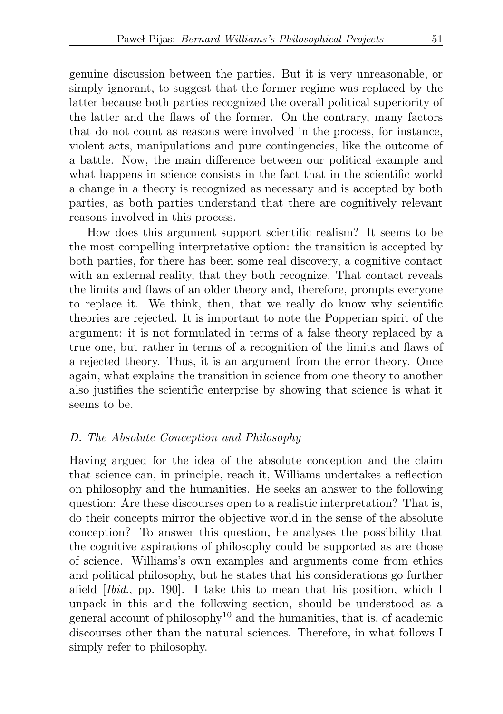genuine discussion between the parties. But it is very unreasonable, or simply ignorant, to suggest that the former regime was replaced by the latter because both parties recognized the overall political superiority of the latter and the flaws of the former. On the contrary, many factors that do not count as reasons were involved in the process, for instance, violent acts, manipulations and pure contingencies, like the outcome of a battle. Now, the main difference between our political example and what happens in science consists in the fact that in the scientific world a change in a theory is recognized as necessary and is accepted by both parties, as both parties understand that there are cognitively relevant reasons involved in this process.

How does this argument support scientific realism? It seems to be the most compelling interpretative option: the transition is accepted by both parties, for there has been some real discovery, a cognitive contact with an external reality, that they both recognize. That contact reveals the limits and flaws of an older theory and, therefore, prompts everyone to replace it. We think, then, that we really do know why scientific theories are rejected. It is important to note the Popperian spirit of the argument: it is not formulated in terms of a false theory replaced by a true one, but rather in terms of a recognition of the limits and flaws of a rejected theory. Thus, it is an argument from the error theory. Once again, what explains the transition in science from one theory to another also justifies the scientific enterprise by showing that science is what it seems to be.

#### D. The Absolute Conception and Philosophy

<span id="page-8-0"></span>Having argued for the idea of the absolute conception and the claim that science can, in principle, reach it, Williams undertakes a reflection on philosophy and the humanities. He seeks an answer to the following question: Are these discourses open to a realistic interpretation? That is, do their concepts mirror the objective world in the sense of the absolute conception? To answer this question, he analyses the possibility that the cognitive aspirations of philosophy could be supported as are those of science. Williams's own examples and arguments come from ethics and political philosophy, but he states that his considerations go further afield [Ibid., pp. 190]. I take this to mean that his position, which I unpack in this and the following section, should be understood as a general account of philosophy<sup>[10](#page-27-4)</sup> and the humanities, that is, of academic discourses other than the natural sciences. Therefore, in what follows I simply refer to philosophy.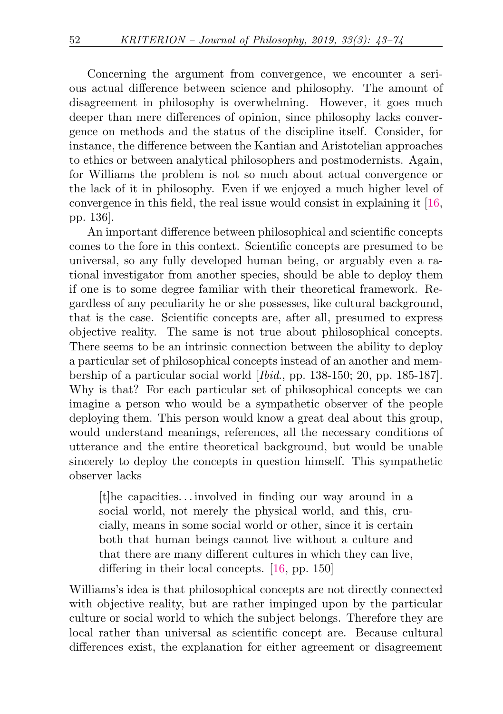Concerning the argument from convergence, we encounter a serious actual difference between science and philosophy. The amount of disagreement in philosophy is overwhelming. However, it goes much deeper than mere differences of opinion, since philosophy lacks convergence on methods and the status of the discipline itself. Consider, for instance, the difference between the Kantian and Aristotelian approaches to ethics or between analytical philosophers and postmodernists. Again, for Williams the problem is not so much about actual convergence or the lack of it in philosophy. Even if we enjoyed a much higher level of convergence in this field, the real issue would consist in explaining it [\[16,](#page-29-0) pp. 136].

An important difference between philosophical and scientific concepts comes to the fore in this context. Scientific concepts are presumed to be universal, so any fully developed human being, or arguably even a rational investigator from another species, should be able to deploy them if one is to some degree familiar with their theoretical framework. Regardless of any peculiarity he or she possesses, like cultural background, that is the case. Scientific concepts are, after all, presumed to express objective reality. The same is not true about philosophical concepts. There seems to be an intrinsic connection between the ability to deploy a particular set of philosophical concepts instead of an another and membership of a particular social world [Ibid., pp. 138-150; 20, pp. 185-187]. Why is that? For each particular set of philosophical concepts we can imagine a person who would be a sympathetic observer of the people deploying them. This person would know a great deal about this group, would understand meanings, references, all the necessary conditions of utterance and the entire theoretical background, but would be unable sincerely to deploy the concepts in question himself. This sympathetic observer lacks

 $|t|$ he capacities... involved in finding our way around in a social world, not merely the physical world, and this, crucially, means in some social world or other, since it is certain both that human beings cannot live without a culture and that there are many different cultures in which they can live, differing in their local concepts. [\[16,](#page-29-0) pp. 150]

Williams's idea is that philosophical concepts are not directly connected with objective reality, but are rather impinged upon by the particular culture or social world to which the subject belongs. Therefore they are local rather than universal as scientific concept are. Because cultural differences exist, the explanation for either agreement or disagreement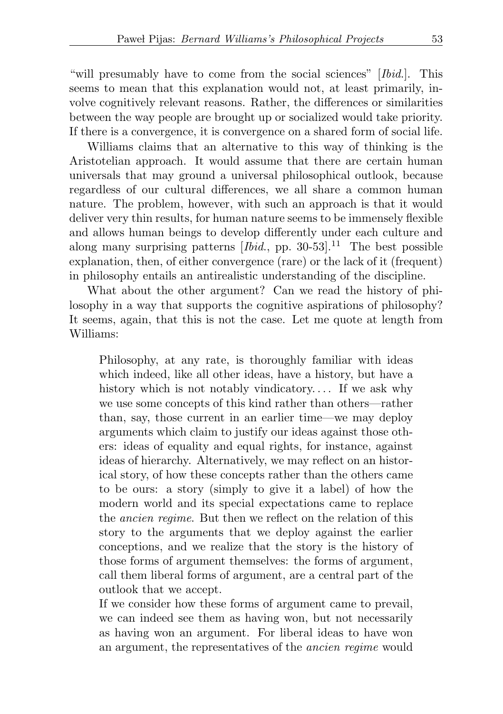"will presumably have to come from the social sciences" [Ibid.]. This seems to mean that this explanation would not, at least primarily, involve cognitively relevant reasons. Rather, the differences or similarities between the way people are brought up or socialized would take priority. If there is a convergence, it is convergence on a shared form of social life.

Williams claims that an alternative to this way of thinking is the Aristotelian approach. It would assume that there are certain human universals that may ground a universal philosophical outlook, because regardless of our cultural differences, we all share a common human nature. The problem, however, with such an approach is that it would deliver very thin results, for human nature seems to be immensely flexible and allows human beings to develop differently under each culture and along many surprising patterns  $[Ibid., pp. 30-53].$ <sup>[11](#page-27-5)</sup> The best possible explanation, then, of either convergence (rare) or the lack of it (frequent) in philosophy entails an antirealistic understanding of the discipline.

What about the other argument? Can we read the history of philosophy in a way that supports the cognitive aspirations of philosophy? It seems, again, that this is not the case. Let me quote at length from Williams:

<span id="page-10-0"></span>Philosophy, at any rate, is thoroughly familiar with ideas which indeed, like all other ideas, have a history, but have a history which is not notably vindicatory.... If we ask why we use some concepts of this kind rather than others—rather than, say, those current in an earlier time—we may deploy arguments which claim to justify our ideas against those others: ideas of equality and equal rights, for instance, against ideas of hierarchy. Alternatively, we may reflect on an historical story, of how these concepts rather than the others came to be ours: a story (simply to give it a label) of how the modern world and its special expectations came to replace the ancien regime. But then we reflect on the relation of this story to the arguments that we deploy against the earlier conceptions, and we realize that the story is the history of those forms of argument themselves: the forms of argument, call them liberal forms of argument, are a central part of the outlook that we accept.

If we consider how these forms of argument came to prevail, we can indeed see them as having won, but not necessarily as having won an argument. For liberal ideas to have won an argument, the representatives of the ancien regime would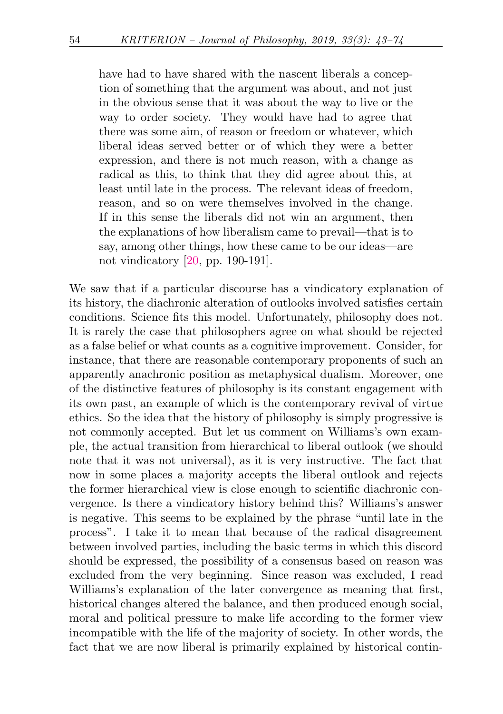have had to have shared with the nascent liberals a conception of something that the argument was about, and not just in the obvious sense that it was about the way to live or the way to order society. They would have had to agree that there was some aim, of reason or freedom or whatever, which liberal ideas served better or of which they were a better expression, and there is not much reason, with a change as radical as this, to think that they did agree about this, at least until late in the process. The relevant ideas of freedom, reason, and so on were themselves involved in the change. If in this sense the liberals did not win an argument, then the explanations of how liberalism came to prevail—that is to say, among other things, how these came to be our ideas—are not vindicatory [\[20,](#page-29-1) pp. 190-191].

We saw that if a particular discourse has a vindicatory explanation of its history, the diachronic alteration of outlooks involved satisfies certain conditions. Science fits this model. Unfortunately, philosophy does not. It is rarely the case that philosophers agree on what should be rejected as a false belief or what counts as a cognitive improvement. Consider, for instance, that there are reasonable contemporary proponents of such an apparently anachronic position as metaphysical dualism. Moreover, one of the distinctive features of philosophy is its constant engagement with its own past, an example of which is the contemporary revival of virtue ethics. So the idea that the history of philosophy is simply progressive is not commonly accepted. But let us comment on Williams's own example, the actual transition from hierarchical to liberal outlook (we should note that it was not universal), as it is very instructive. The fact that now in some places a majority accepts the liberal outlook and rejects the former hierarchical view is close enough to scientific diachronic convergence. Is there a vindicatory history behind this? Williams's answer is negative. This seems to be explained by the phrase "until late in the process". I take it to mean that because of the radical disagreement between involved parties, including the basic terms in which this discord should be expressed, the possibility of a consensus based on reason was excluded from the very beginning. Since reason was excluded, I read Williams's explanation of the later convergence as meaning that first, historical changes altered the balance, and then produced enough social, moral and political pressure to make life according to the former view incompatible with the life of the majority of society. In other words, the fact that we are now liberal is primarily explained by historical contin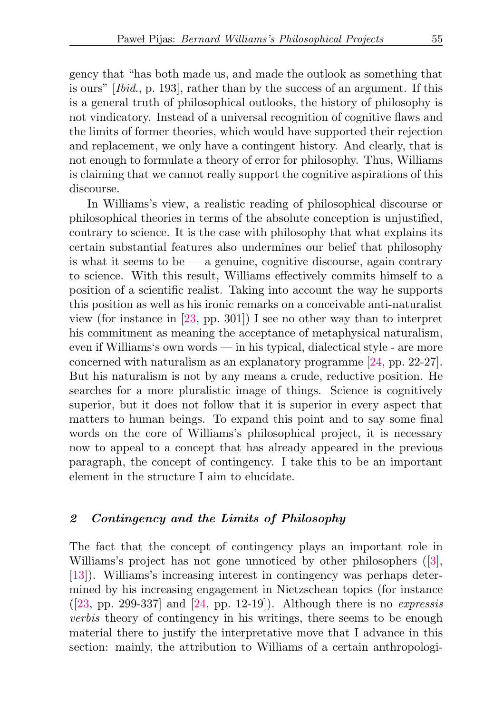gency that "has both made us, and made the outlook as something that is ours" [Ibid., p. 193], rather than by the success of an argument. If this is a general truth of philosophical outlooks, the history of philosophy is not vindicatory. Instead of a universal recognition of cognitive flaws and the limits of former theories, which would have supported their rejection and replacement, we only have a contingent history. And clearly, that is not enough to formulate a theory of error for philosophy. Thus, Williams is claiming that we cannot really support the cognitive aspirations of this discourse.

In Williams's view, a realistic reading of philosophical discourse or philosophical theories in terms of the absolute conception is unjustified, contrary to science. It is the case with philosophy that what explains its certain substantial features also undermines our belief that philosophy is what it seems to be  $-$  a genuine, cognitive discourse, again contrary to science. With this result, Williams effectively commits himself to a position of a scientific realist. Taking into account the way he supports this position as well as his ironic remarks on a conceivable anti-naturalist view (for instance in [\[23,](#page-29-3) pp. 301]) I see no other way than to interpret his commitment as meaning the acceptance of metaphysical naturalism, even if Williams's own words — in his typical, dialectical style - are more concerned with naturalism as an explanatory programme [\[24,](#page-30-0) pp. 22-27]. But his naturalism is not by any means a crude, reductive position. He searches for a more pluralistic image of things. Science is cognitively superior, but it does not follow that it is superior in every aspect that matters to human beings. To expand this point and to say some final words on the core of Williams's philosophical project, it is necessary now to appeal to a concept that has already appeared in the previous paragraph, the concept of contingency. I take this to be an important element in the structure I aim to elucidate.

### 2 Contingency and the Limits of Philosophy

The fact that the concept of contingency plays an important role in Williams's project has not gone unnoticed by other philosophers ([\[3\]](#page-28-3), [\[13\]](#page-29-4)). Williams's increasing interest in contingency was perhaps determined by his increasing engagement in Nietzschean topics (for instance  $([23, pp. 299-337]$  $([23, pp. 299-337]$  $([23, pp. 299-337]$  and  $[24, pp. 12-19]$  $[24, pp. 12-19]$ . Although there is no *expressis* verbis theory of contingency in his writings, there seems to be enough material there to justify the interpretative move that I advance in this section: mainly, the attribution to Williams of a certain anthropologi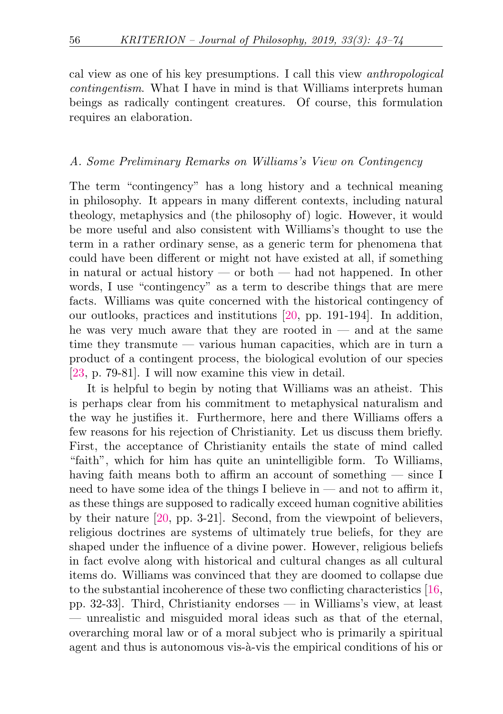cal view as one of his key presumptions. I call this view anthropological contingentism. What I have in mind is that Williams interprets human beings as radically contingent creatures. Of course, this formulation requires an elaboration.

### A. Some Preliminary Remarks on Williams's View on Contingency

The term "contingency" has a long history and a technical meaning in philosophy. It appears in many different contexts, including natural theology, metaphysics and (the philosophy of) logic. However, it would be more useful and also consistent with Williams's thought to use the term in a rather ordinary sense, as a generic term for phenomena that could have been different or might not have existed at all, if something in natural or actual history  $\sim$  or both  $\sim$  had not happened. In other words, I use "contingency" as a term to describe things that are mere facts. Williams was quite concerned with the historical contingency of our outlooks, practices and institutions [\[20,](#page-29-1) pp. 191-194]. In addition, he was very much aware that they are rooted in  $-$  and at the same time they transmute — various human capacities, which are in turn a product of a contingent process, the biological evolution of our species [\[23,](#page-29-3) p. 79-81]. I will now examine this view in detail.

It is helpful to begin by noting that Williams was an atheist. This is perhaps clear from his commitment to metaphysical naturalism and the way he justifies it. Furthermore, here and there Williams offers a few reasons for his rejection of Christianity. Let us discuss them briefly. First, the acceptance of Christianity entails the state of mind called "faith", which for him has quite an unintelligible form. To Williams, having faith means both to affirm an account of something — since I need to have some idea of the things I believe in — and not to affirm it, as these things are supposed to radically exceed human cognitive abilities by their nature [\[20,](#page-29-1) pp. 3-21]. Second, from the viewpoint of believers, religious doctrines are systems of ultimately true beliefs, for they are shaped under the influence of a divine power. However, religious beliefs in fact evolve along with historical and cultural changes as all cultural items do. Williams was convinced that they are doomed to collapse due to the substantial incoherence of these two conflicting characteristics [\[16,](#page-29-0) pp. 32-33]. Third, Christianity endorses — in Williams's view, at least — unrealistic and misguided moral ideas such as that of the eternal, overarching moral law or of a moral subject who is primarily a spiritual agent and thus is autonomous vis- $\hat{a}$ -vis the empirical conditions of his or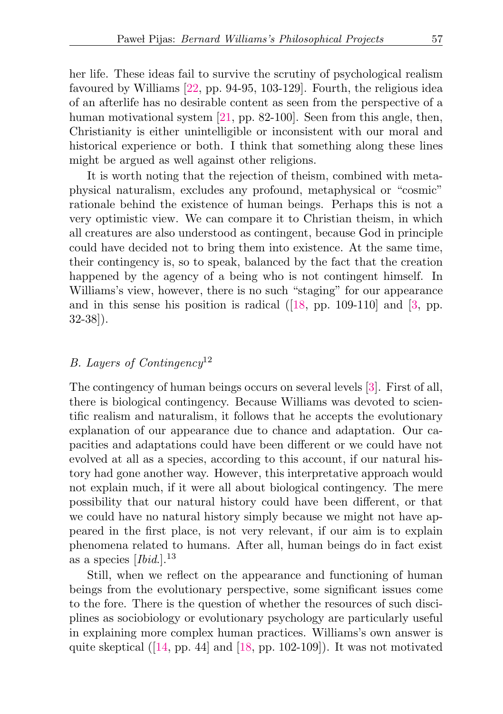her life. These ideas fail to survive the scrutiny of psychological realism favoured by Williams [\[22,](#page-29-5) pp. 94-95, 103-129]. Fourth, the religious idea of an afterlife has no desirable content as seen from the perspective of a human motivational system [\[21,](#page-29-6) pp. 82-100]. Seen from this angle, then, Christianity is either unintelligible or inconsistent with our moral and historical experience or both. I think that something along these lines might be argued as well against other religions.

It is worth noting that the rejection of theism, combined with metaphysical naturalism, excludes any profound, metaphysical or "cosmic" rationale behind the existence of human beings. Perhaps this is not a very optimistic view. We can compare it to Christian theism, in which all creatures are also understood as contingent, because God in principle could have decided not to bring them into existence. At the same time, their contingency is, so to speak, balanced by the fact that the creation happened by the agency of a being who is not contingent himself. In Williams's view, however, there is no such "staging" for our appearance and in this sense his position is radical ([\[18,](#page-29-7) pp. 109-110] and [\[3,](#page-28-3) pp. 32-38]).

## <span id="page-14-0"></span>B. Layers of Contingency<sup>[12](#page-27-6)</sup>

The contingency of human beings occurs on several levels [\[3\]](#page-28-3). First of all, there is biological contingency. Because Williams was devoted to scientific realism and naturalism, it follows that he accepts the evolutionary explanation of our appearance due to chance and adaptation. Our capacities and adaptations could have been different or we could have not evolved at all as a species, according to this account, if our natural history had gone another way. However, this interpretative approach would not explain much, if it were all about biological contingency. The mere possibility that our natural history could have been different, or that we could have no natural history simply because we might not have appeared in the first place, is not very relevant, if our aim is to explain phenomena related to humans. After all, human beings do in fact exist as a species  $[Ibid.]^{13}$  $[Ibid.]^{13}$  $[Ibid.]^{13}$ 

<span id="page-14-1"></span>Still, when we reflect on the appearance and functioning of human beings from the evolutionary perspective, some significant issues come to the fore. There is the question of whether the resources of such disciplines as sociobiology or evolutionary psychology are particularly useful in explaining more complex human practices. Williams's own answer is quite skeptical  $(14, pp. 44]$  and  $[18, pp. 102-109]$  $[18, pp. 102-109]$ ). It was not motivated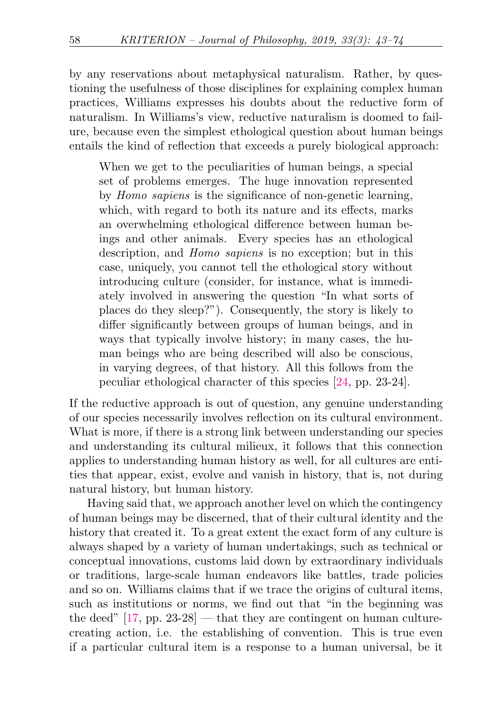by any reservations about metaphysical naturalism. Rather, by questioning the usefulness of those disciplines for explaining complex human practices, Williams expresses his doubts about the reductive form of naturalism. In Williams's view, reductive naturalism is doomed to failure, because even the simplest ethological question about human beings entails the kind of reflection that exceeds a purely biological approach:

When we get to the peculiarities of human beings, a special set of problems emerges. The huge innovation represented by Homo sapiens is the significance of non-genetic learning, which, with regard to both its nature and its effects, marks an overwhelming ethological difference between human beings and other animals. Every species has an ethological description, and Homo sapiens is no exception; but in this case, uniquely, you cannot tell the ethological story without introducing culture (consider, for instance, what is immediately involved in answering the question "In what sorts of places do they sleep?"). Consequently, the story is likely to differ significantly between groups of human beings, and in ways that typically involve history; in many cases, the human beings who are being described will also be conscious, in varying degrees, of that history. All this follows from the peculiar ethological character of this species [\[24,](#page-30-0) pp. 23-24].

If the reductive approach is out of question, any genuine understanding of our species necessarily involves reflection on its cultural environment. What is more, if there is a strong link between understanding our species and understanding its cultural milieux, it follows that this connection applies to understanding human history as well, for all cultures are entities that appear, exist, evolve and vanish in history, that is, not during natural history, but human history.

Having said that, we approach another level on which the contingency of human beings may be discerned, that of their cultural identity and the history that created it. To a great extent the exact form of any culture is always shaped by a variety of human undertakings, such as technical or conceptual innovations, customs laid down by extraordinary individuals or traditions, large-scale human endeavors like battles, trade policies and so on. Williams claims that if we trace the origins of cultural items, such as institutions or norms, we find out that "in the beginning was the deed"  $[17, pp. 23-28]$  $[17, pp. 23-28]$  — that they are contingent on human culturecreating action, i.e. the establishing of convention. This is true even if a particular cultural item is a response to a human universal, be it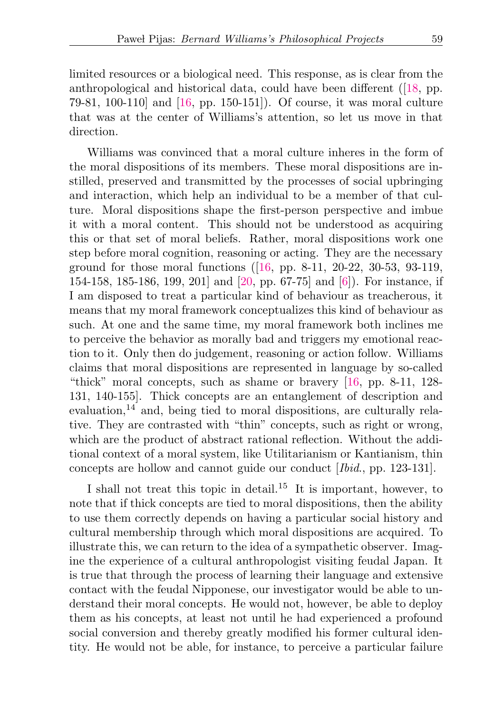limited resources or a biological need. This response, as is clear from the anthropological and historical data, could have been different ([\[18,](#page-29-7) pp. 79-81, 100-110] and [\[16,](#page-29-0) pp. 150-151]). Of course, it was moral culture that was at the center of Williams's attention, so let us move in that direction.

Williams was convinced that a moral culture inheres in the form of the moral dispositions of its members. These moral dispositions are instilled, preserved and transmitted by the processes of social upbringing and interaction, which help an individual to be a member of that culture. Moral dispositions shape the first-person perspective and imbue it with a moral content. This should not be understood as acquiring this or that set of moral beliefs. Rather, moral dispositions work one step before moral cognition, reasoning or acting. They are the necessary ground for those moral functions ([\[16,](#page-29-0) pp. 8-11, 20-22, 30-53, 93-119, 154-158, 185-186, 199, 201] and [\[20,](#page-29-1) pp. 67-75] and [\[6\]](#page-28-4)). For instance, if I am disposed to treat a particular kind of behaviour as treacherous, it means that my moral framework conceptualizes this kind of behaviour as such. At one and the same time, my moral framework both inclines me to perceive the behavior as morally bad and triggers my emotional reaction to it. Only then do judgement, reasoning or action follow. Williams claims that moral dispositions are represented in language by so-called "thick" moral concepts, such as shame or bravery [\[16,](#page-29-0) pp. 8-11, 128- 131, 140-155]. Thick concepts are an entanglement of description and evaluation, $14$  and, being tied to moral dispositions, are culturally relative. They are contrasted with "thin" concepts, such as right or wrong, which are the product of abstract rational reflection. Without the additional context of a moral system, like Utilitarianism or Kantianism, thin concepts are hollow and cannot guide our conduct [Ibid., pp. 123-131].

<span id="page-16-1"></span><span id="page-16-0"></span>I shall not treat this topic in detail.<sup>[15](#page-27-9)</sup> It is important, however, to note that if thick concepts are tied to moral dispositions, then the ability to use them correctly depends on having a particular social history and cultural membership through which moral dispositions are acquired. To illustrate this, we can return to the idea of a sympathetic observer. Imagine the experience of a cultural anthropologist visiting feudal Japan. It is true that through the process of learning their language and extensive contact with the feudal Nipponese, our investigator would be able to understand their moral concepts. He would not, however, be able to deploy them as his concepts, at least not until he had experienced a profound social conversion and thereby greatly modified his former cultural identity. He would not be able, for instance, to perceive a particular failure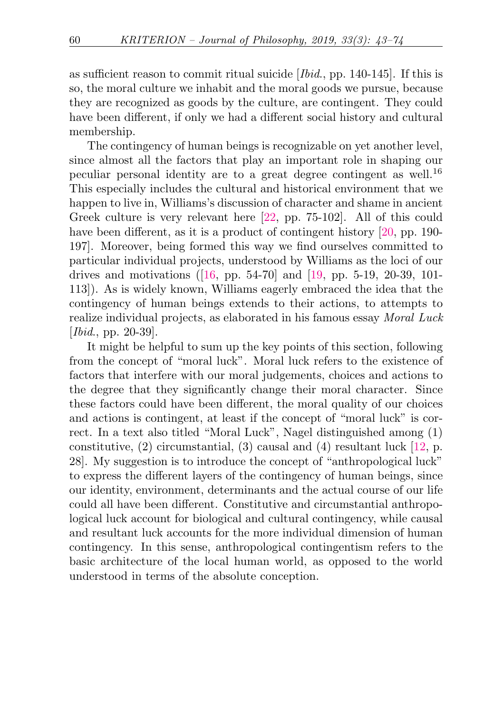as sufficient reason to commit ritual suicide  $[Ibid., pp. 140-145]$ . If this is so, the moral culture we inhabit and the moral goods we pursue, because they are recognized as goods by the culture, are contingent. They could have been different, if only we had a different social history and cultural membership.

<span id="page-17-0"></span>The contingency of human beings is recognizable on yet another level, since almost all the factors that play an important role in shaping our peculiar personal identity are to a great degree contingent as well.[16](#page-27-10) This especially includes the cultural and historical environment that we happen to live in, Williams's discussion of character and shame in ancient Greek culture is very relevant here [\[22,](#page-29-5) pp. 75-102]. All of this could have been different, as it is a product of contingent history [\[20,](#page-29-1) pp. 190-197]. Moreover, being formed this way we find ourselves committed to particular individual projects, understood by Williams as the loci of our drives and motivations  $(16, pp. 54-70)$  and  $[19, pp. 5-19, 20-39, 101 [19, pp. 5-19, 20-39, 101-$ 113]). As is widely known, Williams eagerly embraced the idea that the contingency of human beings extends to their actions, to attempts to realize individual projects, as elaborated in his famous essay Moral Luck [*Ibid.*, pp. 20-39].

It might be helpful to sum up the key points of this section, following from the concept of "moral luck". Moral luck refers to the existence of factors that interfere with our moral judgements, choices and actions to the degree that they significantly change their moral character. Since these factors could have been different, the moral quality of our choices and actions is contingent, at least if the concept of "moral luck" is correct. In a text also titled "Moral Luck", Nagel distinguished among (1) constitutive,  $(2)$  circumstantial,  $(3)$  causal and  $(4)$  resultant luck [\[12,](#page-29-11) p. 28]. My suggestion is to introduce the concept of "anthropological luck" to express the different layers of the contingency of human beings, since our identity, environment, determinants and the actual course of our life could all have been different. Constitutive and circumstantial anthropological luck account for biological and cultural contingency, while causal and resultant luck accounts for the more individual dimension of human contingency. In this sense, anthropological contingentism refers to the basic architecture of the local human world, as opposed to the world understood in terms of the absolute conception.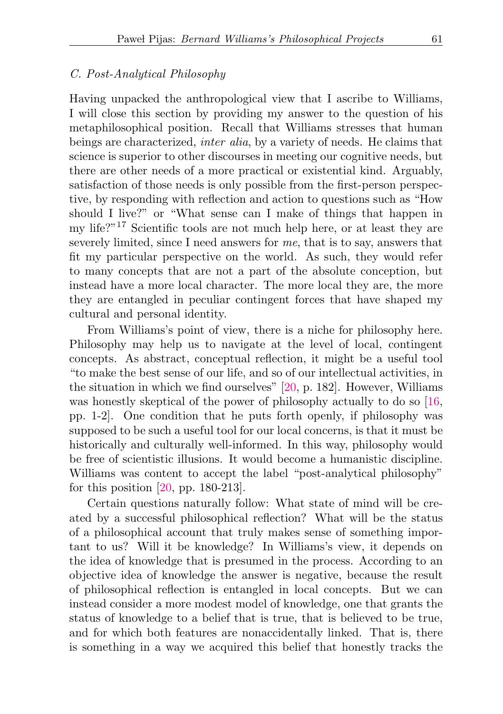#### C. Post-Analytical Philosophy

Having unpacked the anthropological view that I ascribe to Williams, I will close this section by providing my answer to the question of his metaphilosophical position. Recall that Williams stresses that human beings are characterized, inter alia, by a variety of needs. He claims that science is superior to other discourses in meeting our cognitive needs, but there are other needs of a more practical or existential kind. Arguably, satisfaction of those needs is only possible from the first-person perspective, by responding with reflection and action to questions such as "How should I live?" or "What sense can I make of things that happen in my life?"[17](#page-27-11) Scientific tools are not much help here, or at least they are severely limited, since I need answers for me, that is to say, answers that fit my particular perspective on the world. As such, they would refer to many concepts that are not a part of the absolute conception, but instead have a more local character. The more local they are, the more they are entangled in peculiar contingent forces that have shaped my cultural and personal identity.

<span id="page-18-0"></span>From Williams's point of view, there is a niche for philosophy here. Philosophy may help us to navigate at the level of local, contingent concepts. As abstract, conceptual reflection, it might be a useful tool "to make the best sense of our life, and so of our intellectual activities, in the situation in which we find ourselves" [\[20,](#page-29-1) p. 182]. However, Williams was honestly skeptical of the power of philosophy actually to do so [\[16,](#page-29-0)] pp. 1-2]. One condition that he puts forth openly, if philosophy was supposed to be such a useful tool for our local concerns, is that it must be historically and culturally well-informed. In this way, philosophy would be free of scientistic illusions. It would become a humanistic discipline. Williams was content to accept the label "post-analytical philosophy" for this position [\[20,](#page-29-1) pp. 180-213].

Certain questions naturally follow: What state of mind will be created by a successful philosophical reflection? What will be the status of a philosophical account that truly makes sense of something important to us? Will it be knowledge? In Williams's view, it depends on the idea of knowledge that is presumed in the process. According to an objective idea of knowledge the answer is negative, because the result of philosophical reflection is entangled in local concepts. But we can instead consider a more modest model of knowledge, one that grants the status of knowledge to a belief that is true, that is believed to be true, and for which both features are nonaccidentally linked. That is, there is something in a way we acquired this belief that honestly tracks the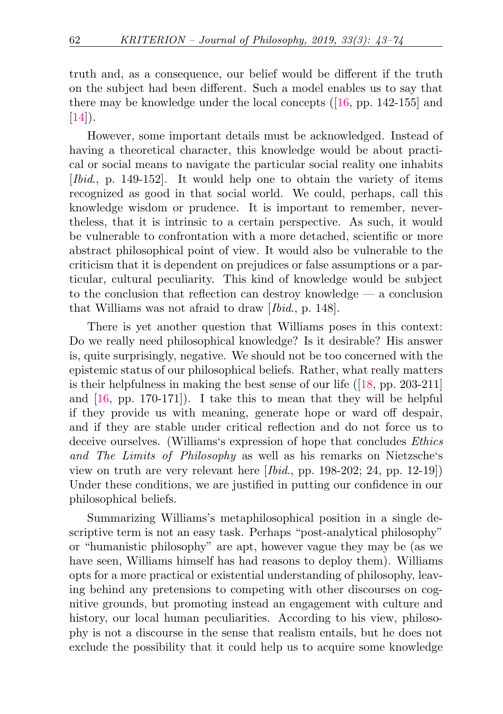truth and, as a consequence, our belief would be different if the truth on the subject had been different. Such a model enables us to say that there may be knowledge under the local concepts ([\[16,](#page-29-0) pp. 142-155] and  $[14]$ ).

However, some important details must be acknowledged. Instead of having a theoretical character, this knowledge would be about practical or social means to navigate the particular social reality one inhabits [Ibid., p. 149-152]. It would help one to obtain the variety of items recognized as good in that social world. We could, perhaps, call this knowledge wisdom or prudence. It is important to remember, nevertheless, that it is intrinsic to a certain perspective. As such, it would be vulnerable to confrontation with a more detached, scientific or more abstract philosophical point of view. It would also be vulnerable to the criticism that it is dependent on prejudices or false assumptions or a particular, cultural peculiarity. This kind of knowledge would be subject to the conclusion that reflection can destroy knowledge — a conclusion that Williams was not afraid to draw [Ibid., p. 148].

There is yet another question that Williams poses in this context: Do we really need philosophical knowledge? Is it desirable? His answer is, quite surprisingly, negative. We should not be too concerned with the epistemic status of our philosophical beliefs. Rather, what really matters is their helpfulness in making the best sense of our life  $(18, pp. 203-211)$ and [\[16,](#page-29-0) pp. 170-171]). I take this to mean that they will be helpful if they provide us with meaning, generate hope or ward off despair, and if they are stable under critical reflection and do not force us to deceive ourselves. (Williams's expression of hope that concludes Ethics and The Limits of Philosophy as well as his remarks on Nietzsche's view on truth are very relevant here [Ibid., pp. 198-202; 24, pp. 12-19]) Under these conditions, we are justified in putting our confidence in our philosophical beliefs.

Summarizing Williams's metaphilosophical position in a single descriptive term is not an easy task. Perhaps "post-analytical philosophy" or "humanistic philosophy" are apt, however vague they may be (as we have seen, Williams himself has had reasons to deploy them). Williams opts for a more practical or existential understanding of philosophy, leaving behind any pretensions to competing with other discourses on cognitive grounds, but promoting instead an engagement with culture and history, our local human peculiarities. According to his view, philosophy is not a discourse in the sense that realism entails, but he does not exclude the possibility that it could help us to acquire some knowledge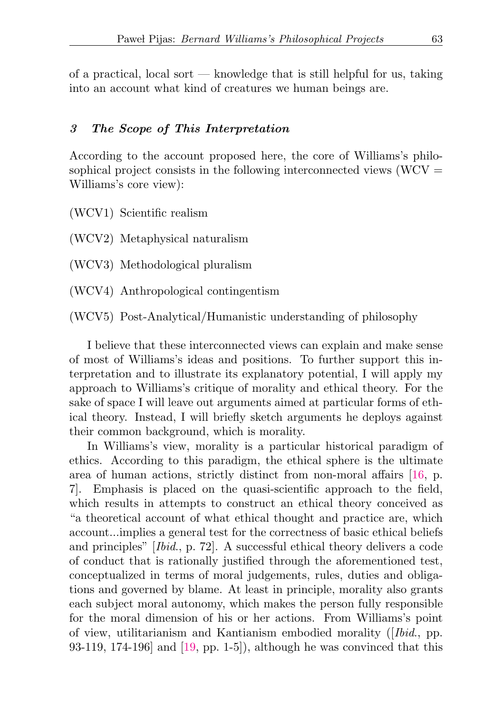of a practical, local sort — knowledge that is still helpful for us, taking into an account what kind of creatures we human beings are.

#### 3 The Scope of This Interpretation

According to the account proposed here, the core of Williams's philosophical project consists in the following interconnected views  $(WCV =$ Williams's core view):

<span id="page-20-3"></span>(WCV1) Scientific realism

(WCV2) Metaphysical naturalism

<span id="page-20-0"></span>(WCV3) Methodological pluralism

<span id="page-20-1"></span>(WCV4) Anthropological contingentism

<span id="page-20-2"></span>(WCV5) Post-Analytical/Humanistic understanding of philosophy

I believe that these interconnected views can explain and make sense of most of Williams's ideas and positions. To further support this interpretation and to illustrate its explanatory potential, I will apply my approach to Williams's critique of morality and ethical theory. For the sake of space I will leave out arguments aimed at particular forms of ethical theory. Instead, I will briefly sketch arguments he deploys against their common background, which is morality.

In Williams's view, morality is a particular historical paradigm of ethics. According to this paradigm, the ethical sphere is the ultimate area of human actions, strictly distinct from non-moral affairs [\[16,](#page-29-0) p. 7]. Emphasis is placed on the quasi-scientific approach to the field, which results in attempts to construct an ethical theory conceived as "a theoretical account of what ethical thought and practice are, which account...implies a general test for the correctness of basic ethical beliefs and principles" [Ibid., p. 72]. A successful ethical theory delivers a code of conduct that is rationally justified through the aforementioned test, conceptualized in terms of moral judgements, rules, duties and obligations and governed by blame. At least in principle, morality also grants each subject moral autonomy, which makes the person fully responsible for the moral dimension of his or her actions. From Williams's point of view, utilitarianism and Kantianism embodied morality ([Ibid., pp. 93-119, 174-196] and [\[19,](#page-29-10) pp. 1-5]), although he was convinced that this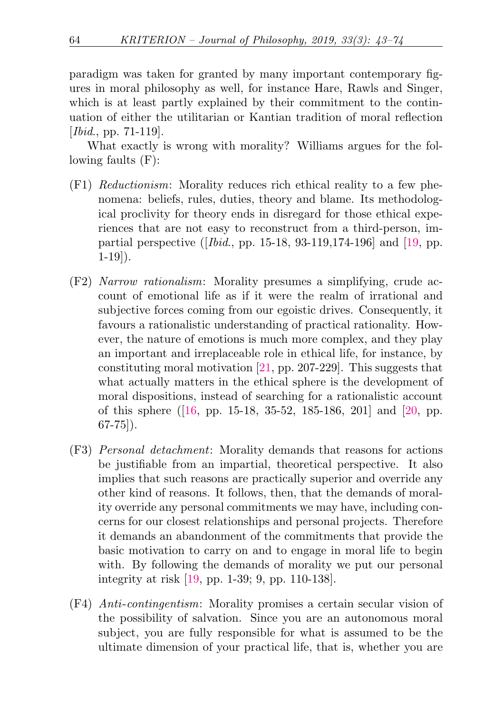paradigm was taken for granted by many important contemporary figures in moral philosophy as well, for instance Hare, Rawls and Singer, which is at least partly explained by their commitment to the continuation of either the utilitarian or Kantian tradition of moral reflection [*Ibid.*, pp. 71-119].

What exactly is wrong with morality? Williams argues for the following faults (F):

- (F1) Reductionism: Morality reduces rich ethical reality to a few phenomena: beliefs, rules, duties, theory and blame. Its methodological proclivity for theory ends in disregard for those ethical experiences that are not easy to reconstruct from a third-person, impartial perspective ([ $Ibid., pp. 15-18, 93-119, 174-196$ ] and [\[19,](#page-29-10) pp. 1-19]).
- (F2) Narrow rationalism: Morality presumes a simplifying, crude account of emotional life as if it were the realm of irrational and subjective forces coming from our egoistic drives. Consequently, it favours a rationalistic understanding of practical rationality. However, the nature of emotions is much more complex, and they play an important and irreplaceable role in ethical life, for instance, by constituting moral motivation [\[21,](#page-29-6) pp. 207-229]. This suggests that what actually matters in the ethical sphere is the development of moral dispositions, instead of searching for a rationalistic account of this sphere ([\[16,](#page-29-0) pp. 15-18, 35-52, 185-186, 201] and [\[20,](#page-29-1) pp. 67-75]).
- (F3) Personal detachment: Morality demands that reasons for actions be justifiable from an impartial, theoretical perspective. It also implies that such reasons are practically superior and override any other kind of reasons. It follows, then, that the demands of morality override any personal commitments we may have, including concerns for our closest relationships and personal projects. Therefore it demands an abandonment of the commitments that provide the basic motivation to carry on and to engage in moral life to begin with. By following the demands of morality we put our personal integrity at risk [\[19,](#page-29-10) pp. 1-39; 9, pp. 110-138].
- (F4) Anti-contingentism: Morality promises a certain secular vision of the possibility of salvation. Since you are an autonomous moral subject, you are fully responsible for what is assumed to be the ultimate dimension of your practical life, that is, whether you are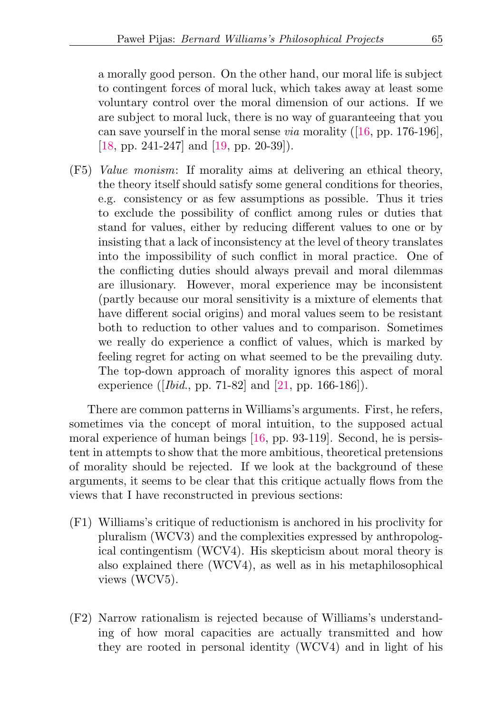a morally good person. On the other hand, our moral life is subject to contingent forces of moral luck, which takes away at least some voluntary control over the moral dimension of our actions. If we are subject to moral luck, there is no way of guaranteeing that you can save yourself in the moral sense via morality ([\[16,](#page-29-0) pp. 176-196], [\[18,](#page-29-7) pp. 241-247] and [\[19,](#page-29-10) pp. 20-39]).

(F5) Value monism: If morality aims at delivering an ethical theory, the theory itself should satisfy some general conditions for theories, e.g. consistency or as few assumptions as possible. Thus it tries to exclude the possibility of conflict among rules or duties that stand for values, either by reducing different values to one or by insisting that a lack of inconsistency at the level of theory translates into the impossibility of such conflict in moral practice. One of the conflicting duties should always prevail and moral dilemmas are illusionary. However, moral experience may be inconsistent (partly because our moral sensitivity is a mixture of elements that have different social origins) and moral values seem to be resistant both to reduction to other values and to comparison. Sometimes we really do experience a conflict of values, which is marked by feeling regret for acting on what seemed to be the prevailing duty. The top-down approach of morality ignores this aspect of moral experience ([Ibid., pp. 71-82] and [\[21,](#page-29-6) pp. 166-186]).

There are common patterns in Williams's arguments. First, he refers, sometimes via the concept of moral intuition, to the supposed actual moral experience of human beings [\[16,](#page-29-0) pp. 93-119]. Second, he is persistent in attempts to show that the more ambitious, theoretical pretensions of morality should be rejected. If we look at the background of these arguments, it seems to be clear that this critique actually flows from the views that I have reconstructed in previous sections:

- (F1) Williams's critique of reductionism is anchored in his proclivity for pluralism (WC[V3\)](#page-20-0) and the complexities expressed by anthropological contingentism (WC[V4\)](#page-20-1). His skepticism about moral theory is also explained there (WC[V4\)](#page-20-1), as well as in his metaphilosophical views (WC[V5\)](#page-20-2).
- (F2) Narrow rationalism is rejected because of Williams's understanding of how moral capacities are actually transmitted and how they are rooted in personal identity (WC[V4\)](#page-20-1) and in light of his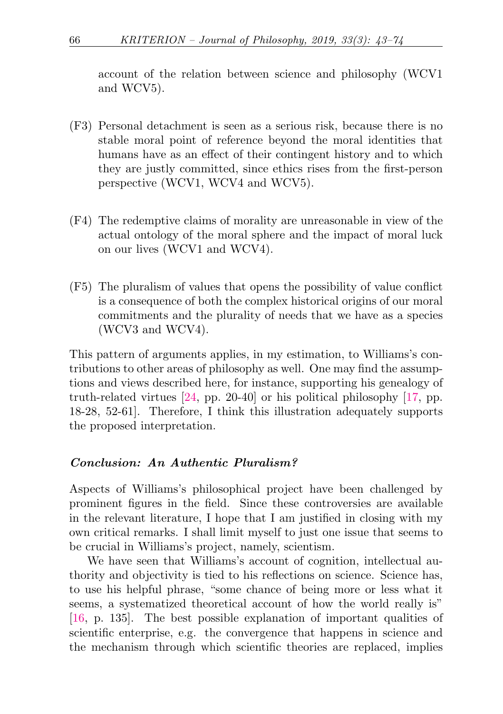account of the relation between science and philosophy (WC[V1](#page-20-3) and WC[V5\)](#page-20-2).

- (F3) Personal detachment is seen as a serious risk, because there is no stable moral point of reference beyond the moral identities that humans have as an effect of their contingent history and to which they are justly committed, since ethics rises from the first-person perspective (WC[V1,](#page-20-3) WC[V4](#page-20-1) and WC[V5\)](#page-20-2).
- (F4) The redemptive claims of morality are unreasonable in view of the actual ontology of the moral sphere and the impact of moral luck on our lives (WC[V1](#page-20-3) and WC[V4\)](#page-20-1).
- (F5) The pluralism of values that opens the possibility of value conflict is a consequence of both the complex historical origins of our moral commitments and the plurality of needs that we have as a species (WC[V3](#page-20-0) and WC[V4\)](#page-20-1).

This pattern of arguments applies, in my estimation, to Williams's contributions to other areas of philosophy as well. One may find the assumptions and views described here, for instance, supporting his genealogy of truth-related virtues [\[24,](#page-30-0) pp. 20-40] or his political philosophy [\[17,](#page-29-9) pp. 18-28, 52-61]. Therefore, I think this illustration adequately supports the proposed interpretation.

## Conclusion: An Authentic Pluralism?

Aspects of Williams's philosophical project have been challenged by prominent figures in the field. Since these controversies are available in the relevant literature, I hope that I am justified in closing with my own critical remarks. I shall limit myself to just one issue that seems to be crucial in Williams's project, namely, scientism.

We have seen that Williams's account of cognition, intellectual authority and objectivity is tied to his reflections on science. Science has, to use his helpful phrase, "some chance of being more or less what it seems, a systematized theoretical account of how the world really is" [\[16,](#page-29-0) p. 135]. The best possible explanation of important qualities of scientific enterprise, e.g. the convergence that happens in science and the mechanism through which scientific theories are replaced, implies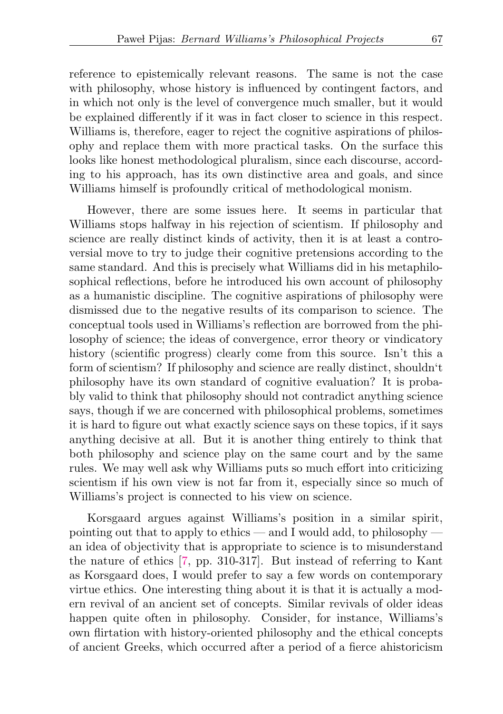reference to epistemically relevant reasons. The same is not the case with philosophy, whose history is influenced by contingent factors, and in which not only is the level of convergence much smaller, but it would be explained differently if it was in fact closer to science in this respect. Williams is, therefore, eager to reject the cognitive aspirations of philosophy and replace them with more practical tasks. On the surface this looks like honest methodological pluralism, since each discourse, according to his approach, has its own distinctive area and goals, and since Williams himself is profoundly critical of methodological monism.

However, there are some issues here. It seems in particular that Williams stops halfway in his rejection of scientism. If philosophy and science are really distinct kinds of activity, then it is at least a controversial move to try to judge their cognitive pretensions according to the same standard. And this is precisely what Williams did in his metaphilosophical reflections, before he introduced his own account of philosophy as a humanistic discipline. The cognitive aspirations of philosophy were dismissed due to the negative results of its comparison to science. The conceptual tools used in Williams's reflection are borrowed from the philosophy of science; the ideas of convergence, error theory or vindicatory history (scientific progress) clearly come from this source. Isn't this a form of scientism? If philosophy and science are really distinct, shouldn't philosophy have its own standard of cognitive evaluation? It is probably valid to think that philosophy should not contradict anything science says, though if we are concerned with philosophical problems, sometimes it is hard to figure out what exactly science says on these topics, if it says anything decisive at all. But it is another thing entirely to think that both philosophy and science play on the same court and by the same rules. We may well ask why Williams puts so much effort into criticizing scientism if his own view is not far from it, especially since so much of Williams's project is connected to his view on science.

Korsgaard argues against Williams's position in a similar spirit, pointing out that to apply to ethics — and I would add, to philosophy an idea of objectivity that is appropriate to science is to misunderstand the nature of ethics [\[7,](#page-28-5) pp. 310-317]. But instead of referring to Kant as Korsgaard does, I would prefer to say a few words on contemporary virtue ethics. One interesting thing about it is that it is actually a modern revival of an ancient set of concepts. Similar revivals of older ideas happen quite often in philosophy. Consider, for instance, Williams's own flirtation with history-oriented philosophy and the ethical concepts of ancient Greeks, which occurred after a period of a fierce ahistoricism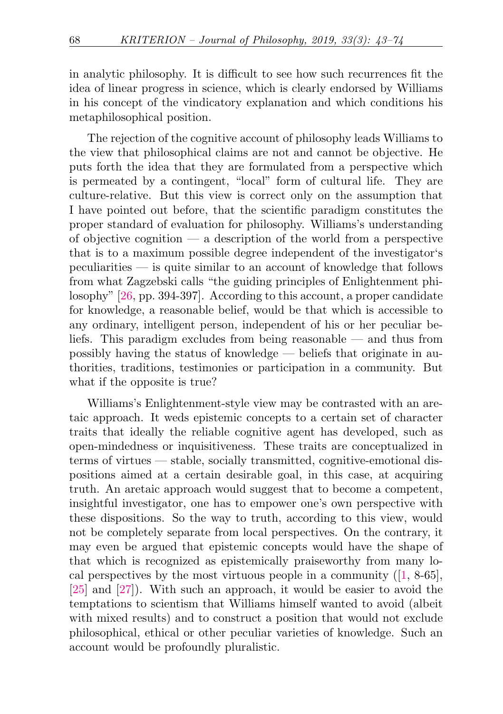in analytic philosophy. It is difficult to see how such recurrences fit the idea of linear progress in science, which is clearly endorsed by Williams in his concept of the vindicatory explanation and which conditions his metaphilosophical position.

The rejection of the cognitive account of philosophy leads Williams to the view that philosophical claims are not and cannot be objective. He puts forth the idea that they are formulated from a perspective which is permeated by a contingent, "local" form of cultural life. They are culture-relative. But this view is correct only on the assumption that I have pointed out before, that the scientific paradigm constitutes the proper standard of evaluation for philosophy. Williams's understanding of objective cognition  $\overline{\phantom{a}}$  a description of the world from a perspective that is to a maximum possible degree independent of the investigator's peculiarities — is quite similar to an account of knowledge that follows from what Zagzebski calls "the guiding principles of Enlightenment philosophy" [\[26,](#page-30-1) pp. 394-397]. According to this account, a proper candidate for knowledge, a reasonable belief, would be that which is accessible to any ordinary, intelligent person, independent of his or her peculiar beliefs. This paradigm excludes from being reasonable — and thus from possibly having the status of knowledge — beliefs that originate in authorities, traditions, testimonies or participation in a community. But what if the opposite is true?

Williams's Enlightenment-style view may be contrasted with an aretaic approach. It weds epistemic concepts to a certain set of character traits that ideally the reliable cognitive agent has developed, such as open-mindedness or inquisitiveness. These traits are conceptualized in terms of virtues — stable, socially transmitted, cognitive-emotional dispositions aimed at a certain desirable goal, in this case, at acquiring truth. An aretaic approach would suggest that to become a competent, insightful investigator, one has to empower one's own perspective with these dispositions. So the way to truth, according to this view, would not be completely separate from local perspectives. On the contrary, it may even be argued that epistemic concepts would have the shape of that which is recognized as epistemically praiseworthy from many local perspectives by the most virtuous people in a community  $(1, 8-65]$ , [\[25\]](#page-30-2) and [\[27\]](#page-30-3)). With such an approach, it would be easier to avoid the temptations to scientism that Williams himself wanted to avoid (albeit with mixed results) and to construct a position that would not exclude philosophical, ethical or other peculiar varieties of knowledge. Such an account would be profoundly pluralistic.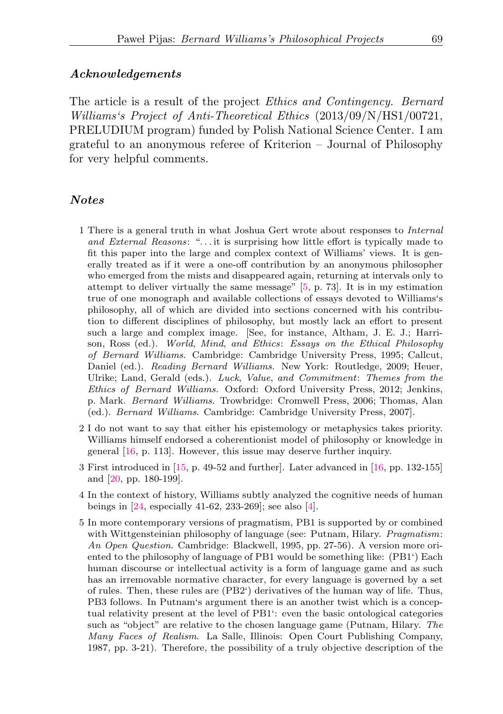#### Acknowledgements

The article is a result of the project Ethics and Contingency. Bernard Williams's Project of Anti-Theoretical Ethics (2013/09/N/HS1/00721, PRELUDIUM program) funded by Polish National Science Center. I am grateful to an anonymous referee of Kriterion – Journal of Philosophy for very helpful comments.

#### Notes

- <span id="page-26-0"></span>[1](#page-1-0) There is a general truth in what Joshua Gert wrote about responses to Internal and External Reasons: ". . . it is surprising how little effort is typically made to fit this paper into the large and complex context of Williams' views. It is generally treated as if it were a one-off contribution by an anonymous philosopher who emerged from the mists and disappeared again, returning at intervals only to attempt to deliver virtually the same message" [\[5,](#page-28-1) p. 73]. It is in my estimation true of one monograph and available collections of essays devoted to Williams's philosophy, all of which are divided into sections concerned with his contribution to different disciplines of philosophy, but mostly lack an effort to present such a large and complex image. [See, for instance, Altham, J. E. J.; Harrison, Ross (ed.). World, Mind, and Ethics: Essays on the Ethical Philosophy of Bernard Williams. Cambridge: Cambridge University Press, 1995; Callcut, Daniel (ed.). Reading Bernard Williams. New York: Routledge, 2009; Heuer, Ulrike; Land, Gerald (eds.). Luck, Value, and Commitment: Themes from the Ethics of Bernard Williams. Oxford: Oxford University Press, 2012; Jenkins, p. Mark. Bernard Williams. Trowbridge: Cromwell Press, 2006; Thomas, Alan (ed.). Bernard Williams. Cambridge: Cambridge University Press, 2007].
- <span id="page-26-1"></span>[2](#page-1-1) I do not want to say that either his epistemology or metaphysics takes priority. Williams himself endorsed a coherentionist model of philosophy or knowledge in general [\[16,](#page-29-0) p. 113]. However, this issue may deserve further inquiry.
- <span id="page-26-2"></span>[3](#page-1-2) First introduced in [\[15,](#page-29-12) p. 49-52 and further]. Later advanced in [\[16,](#page-29-0) pp. 132-155] and [\[20,](#page-29-1) pp. 180-199].
- <span id="page-26-3"></span>[4](#page-3-2) In the context of history, Williams subtly analyzed the cognitive needs of human beings in [\[24,](#page-30-0) especially 41-62, 233-269]; see also [\[4\]](#page-28-7).
- <span id="page-26-4"></span>[5](#page-3-3) In more contemporary versions of pragmatism, P[B1](#page-3-0) is supported by or combined with Wittgensteinian philosophy of language (see: Putnam, Hilary. *Pragmatism*: An Open Question. Cambridge: Blackwell, 1995, pp. 27-56). A version more oriented to the philosophy of language of P[B1](#page-3-0) would be something like: (P[B1'](#page-3-0)) Each human discourse or intellectual activity is a form of language game and as such has an irremovable normative character, for every language is governed by a set of rules. Then, these rules are (P[B2'](#page-3-4)) derivatives of the human way of life. Thus, P[B3](#page-3-1) follows. In Putnam's argument there is an another twist which is a conceptual relativity present at the level of P[B1'](#page-3-0): even the basic ontological categories such as "object" are relative to the chosen language game (Putnam, Hilary. The Many Faces of Realism. La Salle, Illinois: Open Court Publishing Company, 1987, pp. 3-21). Therefore, the possibility of a truly objective description of the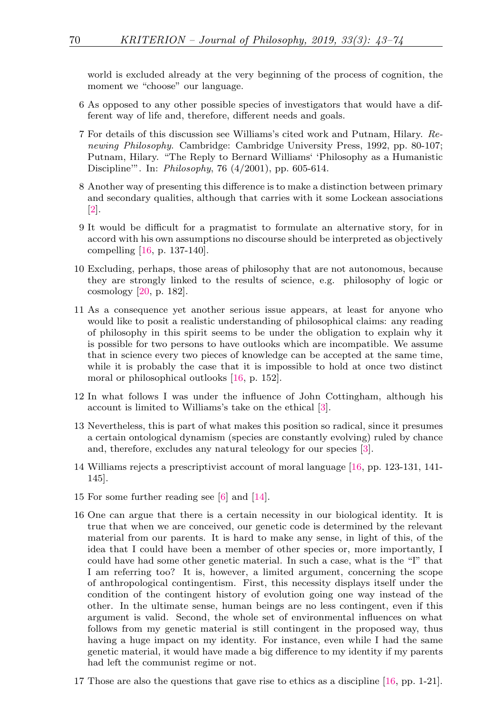world is excluded already at the very beginning of the process of cognition, the moment we "choose" our language.

- <span id="page-27-0"></span>[6](#page-3-5) As opposed to any other possible species of investigators that would have a different way of life and, therefore, different needs and goals.
- <span id="page-27-1"></span>[7](#page-4-1) For details of this discussion see Williams's cited work and Putnam, Hilary. Renewing Philosophy. Cambridge: Cambridge University Press, 1992, pp. 80-107; Putnam, Hilary. "The Reply to Bernard Williams' 'Philosophy as a Humanistic Discipline'". In: Philosophy, 76 (4/2001), pp. 605-614.
- <span id="page-27-2"></span>[8](#page-5-0) Another way of presenting this difference is to make a distinction between primary and secondary qualities, although that carries with it some Lockean associations  $|2|$ .
- <span id="page-27-3"></span>[9](#page-6-0) It would be difficult for a pragmatist to formulate an alternative story, for in accord with his own assumptions no discourse should be interpreted as objectively compelling [\[16,](#page-29-0) p. 137-140].
- <span id="page-27-4"></span>[10](#page-8-0) Excluding, perhaps, those areas of philosophy that are not autonomous, because they are strongly linked to the results of science, e.g. philosophy of logic or cosmology [\[20,](#page-29-1) p. 182].
- <span id="page-27-5"></span>[11](#page-10-0) As a consequence yet another serious issue appears, at least for anyone who would like to posit a realistic understanding of philosophical claims: any reading of philosophy in this spirit seems to be under the obligation to explain why it is possible for two persons to have outlooks which are incompatible. We assume that in science every two pieces of knowledge can be accepted at the same time, while it is probably the case that it is impossible to hold at once two distinct moral or philosophical outlooks [\[16,](#page-29-0) p. 152].
- <span id="page-27-6"></span>[12](#page-14-0) In what follows I was under the influence of John Cottingham, although his account is limited to Williams's take on the ethical [\[3\]](#page-28-3).
- <span id="page-27-7"></span>[13](#page-14-1) Nevertheless, this is part of what makes this position so radical, since it presumes a certain ontological dynamism (species are constantly evolving) ruled by chance and, therefore, excludes any natural teleology for our species [\[3\]](#page-28-3).
- <span id="page-27-8"></span>[14](#page-16-0) Williams rejects a prescriptivist account of moral language [\[16,](#page-29-0) pp. 123-131, 141- 145].
- <span id="page-27-9"></span>[15](#page-16-1) For some further reading see [\[6\]](#page-28-4) and [\[14\]](#page-29-8).
- <span id="page-27-10"></span>[16](#page-17-0) One can argue that there is a certain necessity in our biological identity. It is true that when we are conceived, our genetic code is determined by the relevant material from our parents. It is hard to make any sense, in light of this, of the idea that I could have been a member of other species or, more importantly, I could have had some other genetic material. In such a case, what is the "I" that I am referring too? It is, however, a limited argument, concerning the scope of anthropological contingentism. First, this necessity displays itself under the condition of the contingent history of evolution going one way instead of the other. In the ultimate sense, human beings are no less contingent, even if this argument is valid. Second, the whole set of environmental influences on what follows from my genetic material is still contingent in the proposed way, thus having a huge impact on my identity. For instance, even while I had the same genetic material, it would have made a big difference to my identity if my parents had left the communist regime or not.
- <span id="page-27-11"></span>[17](#page-18-0) Those are also the questions that gave rise to ethics as a discipline [\[16,](#page-29-0) pp. 1-21].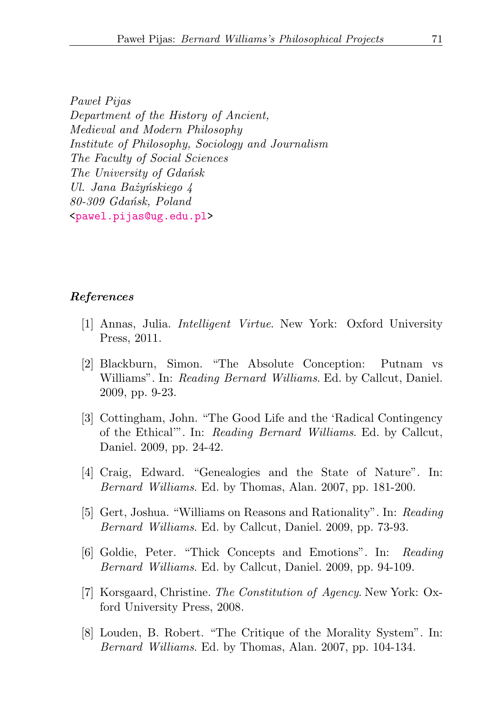Paweł Pijas Department of the History of Ancient, Medieval and Modern Philosophy Institute of Philosophy, Sociology and Journalism The Faculty of Social Sciences The University of Gdańsk Ul. Jana Bażyńskiego 4 80-309 Gdańsk, Poland [<pawel.pijas@ug.edu.pl>](mailto:pawel.pijas@ug.edu.pl)

### <span id="page-28-0"></span>References

- <span id="page-28-6"></span>[1] Annas, Julia. Intelligent Virtue. New York: Oxford University Press, 2011.
- <span id="page-28-2"></span>[2] Blackburn, Simon. "The Absolute Conception: Putnam vs Williams". In: Reading Bernard Williams. Ed. by Callcut, Daniel. 2009, pp. 9-23.
- <span id="page-28-3"></span>[3] Cottingham, John. "The Good Life and the 'Radical Contingency of the Ethical'". In: Reading Bernard Williams. Ed. by Callcut, Daniel. 2009, pp. 24-42.
- <span id="page-28-7"></span>[4] Craig, Edward. "Genealogies and the State of Nature". In: Bernard Williams. Ed. by Thomas, Alan. 2007, pp. 181-200.
- <span id="page-28-1"></span>[5] Gert, Joshua. "Williams on Reasons and Rationality". In: Reading Bernard Williams. Ed. by Callcut, Daniel. 2009, pp. 73-93.
- <span id="page-28-4"></span>[6] Goldie, Peter. "Thick Concepts and Emotions". In: Reading Bernard Williams. Ed. by Callcut, Daniel. 2009, pp. 94-109.
- <span id="page-28-5"></span>[7] Korsgaard, Christine. The Constitution of Agency. New York: Oxford University Press, 2008.
- [8] Louden, B. Robert. "The Critique of the Morality System". In: Bernard Williams. Ed. by Thomas, Alan. 2007, pp. 104-134.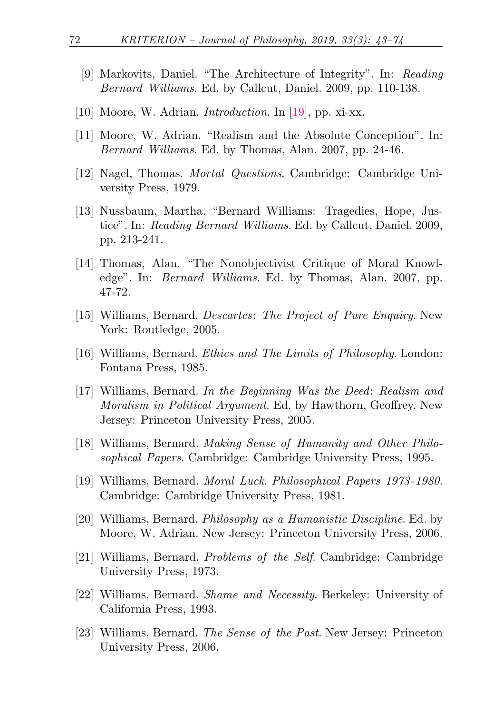- [9] Markovits, Daniel. "The Architecture of Integrity". In: Reading Bernard Williams. Ed. by Callcut, Daniel. 2009, pp. 110-138.
- [10] Moore, W. Adrian. *Introduction*. In [\[19\]](#page-29-10), pp. xi-xx.
- <span id="page-29-2"></span>[11] Moore, W. Adrian. "Realism and the Absolute Conception". In: Bernard Williams. Ed. by Thomas, Alan. 2007, pp. 24-46.
- <span id="page-29-11"></span>[12] Nagel, Thomas. Mortal Questions. Cambridge: Cambridge University Press, 1979.
- <span id="page-29-4"></span>[13] Nussbaum, Martha. "Bernard Williams: Tragedies, Hope, Justice". In: Reading Bernard Williams. Ed. by Callcut, Daniel. 2009, pp. 213-241.
- <span id="page-29-8"></span>[14] Thomas, Alan. "The Nonobjectivist Critique of Moral Knowledge". In: Bernard Williams. Ed. by Thomas, Alan. 2007, pp. 47-72.
- <span id="page-29-12"></span>[15] Williams, Bernard. Descartes: The Project of Pure Enquiry. New York: Routledge, 2005.
- <span id="page-29-0"></span>[16] Williams, Bernard. Ethics and The Limits of Philosophy. London: Fontana Press, 1985.
- <span id="page-29-9"></span>[17] Williams, Bernard. In the Beginning Was the Deed: Realism and Moralism in Political Argument. Ed. by Hawthorn, Geoffrey. New Jersey: Princeton University Press, 2005.
- <span id="page-29-7"></span>[18] Williams, Bernard. Making Sense of Humanity and Other Philosophical Papers. Cambridge: Cambridge University Press, 1995.
- <span id="page-29-10"></span>[19] Williams, Bernard. Moral Luck. Philosophical Papers 1973 -1980. Cambridge: Cambridge University Press, 1981.
- <span id="page-29-1"></span>[20] Williams, Bernard. Philosophy as a Humanistic Discipline. Ed. by Moore, W. Adrian. New Jersey: Princeton University Press, 2006.
- <span id="page-29-6"></span>[21] Williams, Bernard. Problems of the Self. Cambridge: Cambridge University Press, 1973.
- <span id="page-29-5"></span>[22] Williams, Bernard. Shame and Necessity. Berkeley: University of California Press, 1993.
- <span id="page-29-3"></span>[23] Williams, Bernard. The Sense of the Past. New Jersey: Princeton University Press, 2006.